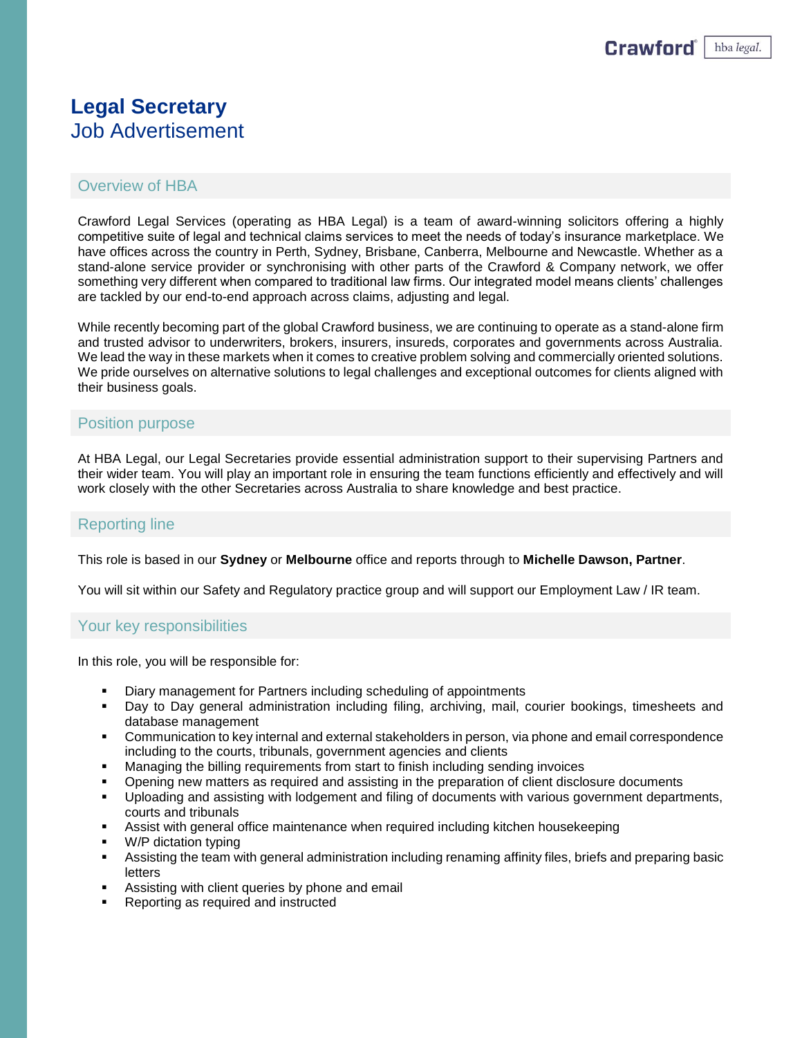# **Legal Secretary** Job Advertisement

# Overview of HBA

Crawford Legal Services (operating as HBA Legal) is a team of award-winning solicitors offering a highly competitive suite of legal and technical claims services to meet the needs of today's insurance marketplace. We have offices across the country in Perth, Sydney, Brisbane, Canberra, Melbourne and Newcastle. Whether as a stand-alone service provider or synchronising with other parts of the Crawford & Company network, we offer something very different when compared to traditional law firms. Our integrated model means clients' challenges are tackled by our end-to-end approach across claims, adjusting and legal.

While recently becoming part of the global Crawford business, we are continuing to operate as a stand-alone firm and trusted advisor to underwriters, brokers, insurers, insureds, corporates and governments across Australia. We lead the way in these markets when it comes to creative problem solving and commercially oriented solutions. We pride ourselves on alternative solutions to legal challenges and exceptional outcomes for clients aligned with their business goals.

## Position purpose

At HBA Legal, our Legal Secretaries provide essential administration support to their supervising Partners and their wider team. You will play an important role in ensuring the team functions efficiently and effectively and will work closely with the other Secretaries across Australia to share knowledge and best practice.

## Reporting line

This role is based in our **Sydney** or **Melbourne** office and reports through to **Michelle Dawson, Partner**.

You will sit within our Safety and Regulatory practice group and will support our Employment Law / IR team.

## Your key responsibilities

In this role, you will be responsible for:

- Diary management for Partners including scheduling of appointments
- Day to Day general administration including filing, archiving, mail, courier bookings, timesheets and database management
- **Communication to key internal and external stakeholders in person, via phone and email correspondence** including to the courts, tribunals, government agencies and clients
- **■** Managing the billing requirements from start to finish including sending invoices
- Opening new matters as required and assisting in the preparation of client disclosure documents
- Uploading and assisting with lodgement and filing of documents with various government departments, courts and tribunals
- Assist with general office maintenance when required including kitchen housekeeping
- W/P dictation typing
- Assisting the team with general administration including renaming affinity files, briefs and preparing basic letters
- Assisting with client queries by phone and email
- Reporting as required and instructed